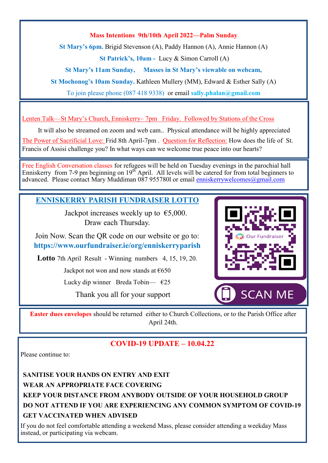#### **Mass Intentions 9th/10th April 2022—Palm Sunday**

**St Mary's 6pm.** Brigid Stevenson (A), Paddy Hannon (A), Annie Hannon (A)

**St Patrick's, 10am -** Lucy & Simon Carroll (A)

**St Mary's 11am Sunday, Masses in St Mary's viewable on webcam,** 

**St Mochonog's 10am Sunday.** Kathleen Mullery (MM), Edward & Esther Sally (A)

To join please phone (087 418 9338) or email **sally.phalan@gmail.com** 

Lenten Talk—St Mary's Church, Enniskerry– 7pm Friday. Followed by Stations of the Cross

It will also be streamed on zoom and web cam.. Physical attendance will be highly appreciated The Power of Sacrificial Love: Frid 8th April-7pm . Question for Reflection: How does the life of St. Francis of Assisi challenge you? In what ways can we welcome true peace into our hearts?

Free English Conversation classes for refugees will be held on Tuesday evenings in the parochial hall Enniskerry from 7-9 pm beginning on 19<sup>th</sup> April. All levels will be catered for from total beginners to advanced. Please contact Mary Muddiman 087 9557801 or email **enniskerrywelcomes@gmail.com** 

#### **ENNISKERRY PARISH FUNDRAISER LOTTO**

Jackpot increases weekly up to  $\epsilon$ 5,000. Draw each Thursday.

Join Now. Scan the QR code on our website or go to: **https://www.ourfundraiser.ie/org/enniskerryparish**

**Lotto** 7th April Result - Winning numbers 4, 15, 19, 20.

Jackpot not won and now stands at  $€650$ 

Lucky dip winner Breda Tobin—  $\epsilon$ 25

Thank you all for your support



**Easter dues envelopes** should be returned either to Church Collections, or to the Parish Office after April 24th.

### **COVID-19 UPDATE – 10.04.22**

Please continue to:

**SANITISE YOUR HANDS ON ENTRY AND EXIT WEAR AN APPROPRIATE FACE COVERING KEEP YOUR DISTANCE FROM ANYBODY OUTSIDE OF YOUR HOUSEHOLD GROUP DO NOT ATTEND IF YOU ARE EXPERIENCING ANY COMMON SYMPTOM OF COVID-19 GET VACCINATED WHEN ADVISED**

If you do not feel comfortable attending a weekend Mass, please consider attending a weekday Mass instead, or participating via webcam.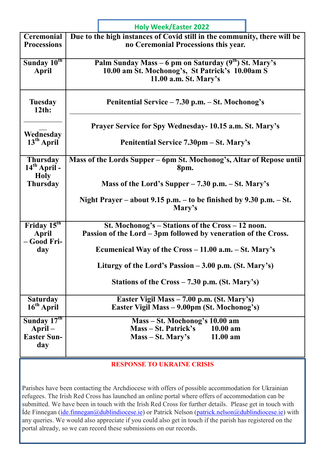|                                                      | <b>Holy Week/Easter 2022</b>                                                                                                       |
|------------------------------------------------------|------------------------------------------------------------------------------------------------------------------------------------|
| <b>Ceremonial</b><br><b>Processions</b>              | Due to the high instances of Covid still in the community, there will be<br>no Ceremonial Processions this year.                   |
| Sunday 10th<br>April                                 | Palm Sunday Mass – 6 pm on Saturday $(9th)$ St. Mary's<br>10.00 am St. Mochonog's, St Patrick's 10.00am S<br>11.00 a.m. St. Mary's |
| <b>Tuesday</b><br>$12th$ :                           | Penitential Service – 7.30 p.m. – St. Mochonog's                                                                                   |
| Wednesday                                            | Prayer Service for Spy Wednesday- 10.15 a.m. St. Mary's                                                                            |
| $13th$ April                                         | Penitential Service 7.30pm – St. Mary's                                                                                            |
| <b>Thursday</b><br>$14th$ April -<br><b>Holy</b>     | Mass of the Lords Supper – 6pm St. Mochonog's, Altar of Repose until<br>8pm.                                                       |
| <b>Thursday</b>                                      | Mass of the Lord's Supper $-7.30$ p.m. $-$ St. Mary's                                                                              |
|                                                      | Night Prayer – about 9.15 p.m. – to be finished by 9.30 p.m. – St.<br>Mary's                                                       |
| Friday $15th$<br>April<br>- Good Fri-                | St. Mochonog's $-$ Stations of the Cross $-12$ noon.<br>Passion of the Lord - 3pm followed by veneration of the Cross.             |
| day                                                  | Ecumenical Way of the $Cross - 11.00$ a.m. $- St.$ Mary's                                                                          |
|                                                      | Liturgy of the Lord's Passion – 3.00 p.m. (St. Mary's)                                                                             |
|                                                      | Stations of the $Cross - 7.30$ p.m. (St. Mary's)                                                                                   |
| <b>Saturday</b><br>$16th$ April                      | Easter Vigil Mass – 7.00 p.m. (St. Mary's)<br>Easter Vigil Mass - 9.00pm (St. Mochonog's)                                          |
| Sunday $17th$<br>April-<br><b>Easter Sun-</b><br>day | Mass – St. Mochonog's 10.00 am<br>Mass – St. Patrick's 10.00 am<br>$11.00$ am<br>Mass – St. Mary's                                 |

**RESPONSE TO UKRAINE CRISIS**

Parishes have been contacting the Archdiocese with offers of possible accommodation for Ukrainian refugees. The Irish Red Cross has launched an online portal where offers of accommodation can be submitted. We have been in touch with the Irish Red Cross for further details. Please get in touch with Íde Finnegan ([ide.finnegan@dublindiocese.ie\)](mailto:ide.finnegan@dublindiocese.ie) or Patrick Nelson [\(patrick.nelson@dublindiocese.ie\)](mailto:patrick.nelson@dublindiocese.ie) with any queries. We would also appreciate if you could also get in touch if the parish has registered on the portal already, so we can record these submissions on our records.